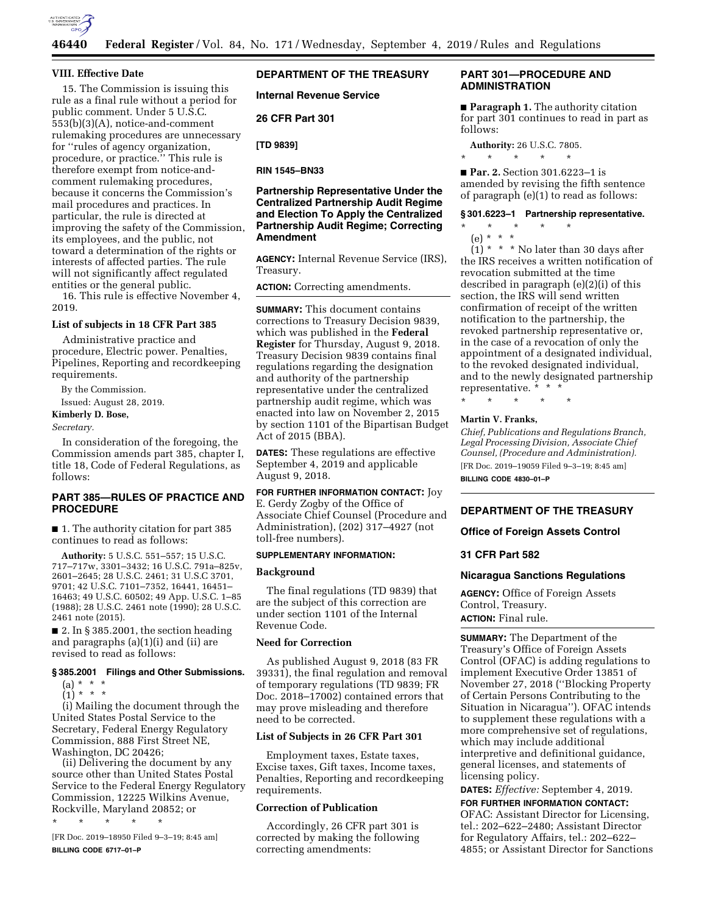

## **VIII. Effective Date**

15. The Commission is issuing this rule as a final rule without a period for public comment. Under 5 U.S.C. 553(b)(3)(A), notice-and-comment rulemaking procedures are unnecessary for ''rules of agency organization, procedure, or practice.'' This rule is therefore exempt from notice-andcomment rulemaking procedures, because it concerns the Commission's mail procedures and practices. In particular, the rule is directed at improving the safety of the Commission, its employees, and the public, not toward a determination of the rights or interests of affected parties. The rule will not significantly affect regulated entities or the general public.

16. This rule is effective November 4, 2019.

## **List of subjects in 18 CFR Part 385**

Administrative practice and procedure, Electric power. Penalties, Pipelines, Reporting and recordkeeping requirements.

By the Commission. Issued: August 28, 2019.

# **Kimberly D. Bose,**

*Secretary.* 

In consideration of the foregoing, the Commission amends part 385, chapter I, title 18, Code of Federal Regulations, as follows:

## **PART 385—RULES OF PRACTICE AND PROCEDURE**

■ 1. The authority citation for part 385 continues to read as follows:

**Authority:** 5 U.S.C. 551–557; 15 U.S.C. 717–717w, 3301–3432; 16 U.S.C. 791a–825v, 2601–2645; 28 U.S.C. 2461; 31 U.S.C 3701, 9701; 42 U.S.C. 7101–7352, 16441, 16451– 16463; 49 U.S.C. 60502; 49 App. U.S.C. 1–85 (1988); 28 U.S.C. 2461 note (1990); 28 U.S.C. 2461 note (2015).

 $\blacksquare$  2. In § 385.2001, the section heading and paragraphs (a)(1)(i) and (ii) are revised to read as follows:

# **§ 385.2001 Filings and Other Submissions.**

- (a) \* \* \*
- $(1) * * * *$

(i) Mailing the document through the United States Postal Service to the Secretary, Federal Energy Regulatory Commission, 888 First Street NE, Washington, DC 20426;

(ii) Delivering the document by any source other than United States Postal Service to the Federal Energy Regulatory Commission, 12225 Wilkins Avenue, Rockville, Maryland 20852; or

[FR Doc. 2019–18950 Filed 9–3–19; 8:45 am] **BILLING CODE 6717–01–P** 

\* \* \* \* \*

# **DEPARTMENT OF THE TREASURY**

**Internal Revenue Service** 

**26 CFR Part 301** 

**[TD 9839]** 

**RIN 1545–BN33** 

## **Partnership Representative Under the Centralized Partnership Audit Regime and Election To Apply the Centralized Partnership Audit Regime; Correcting Amendment**

**AGENCY:** Internal Revenue Service (IRS), Treasury.

**ACTION:** Correcting amendments.

**SUMMARY:** This document contains corrections to Treasury Decision 9839, which was published in the **Federal Register** for Thursday, August 9, 2018. Treasury Decision 9839 contains final regulations regarding the designation and authority of the partnership representative under the centralized partnership audit regime, which was enacted into law on November 2, 2015 by section 1101 of the Bipartisan Budget Act of 2015 (BBA).

**DATES:** These regulations are effective September 4, 2019 and applicable August 9, 2018.

**FOR FURTHER INFORMATION CONTACT:** Joy E. Gerdy Zogby of the Office of Associate Chief Counsel (Procedure and Administration), (202) 317–4927 (not toll-free numbers).

## **SUPPLEMENTARY INFORMATION:**

## **Background**

The final regulations (TD 9839) that are the subject of this correction are under section 1101 of the Internal Revenue Code.

#### **Need for Correction**

As published August 9, 2018 (83 FR 39331), the final regulation and removal of temporary regulations (TD 9839; FR Doc. 2018–17002) contained errors that may prove misleading and therefore need to be corrected.

## **List of Subjects in 26 CFR Part 301**

Employment taxes, Estate taxes, Excise taxes, Gift taxes, Income taxes, Penalties, Reporting and recordkeeping requirements.

## **Correction of Publication**

Accordingly, 26 CFR part 301 is corrected by making the following correcting amendments:

## **PART 301—PROCEDURE AND ADMINISTRATION**

■ **Paragraph 1.** The authority citation for part 301 continues to read in part as follows:

**Authority:** 26 U.S.C. 7805.

\* \* \* \* \*

■ **Par. 2.** Section 301.6223-1 is amended by revising the fifth sentence of paragraph (e)(1) to read as follows:

# **§ 301.6223–1 Partnership representative.**

- \* \* \* \* \*
	- (e) \* \* \*

 $(1)$  \* \* \* No later than 30 days after the IRS receives a written notification of revocation submitted at the time described in paragraph (e)(2)(i) of this section, the IRS will send written confirmation of receipt of the written notification to the partnership, the revoked partnership representative or, in the case of a revocation of only the appointment of a designated individual, to the revoked designated individual, and to the newly designated partnership representative. \* \* \*

\* \* \* \* \*

## **Martin V. Franks,**

*Chief, Publications and Regulations Branch, Legal Processing Division, Associate Chief Counsel, (Procedure and Administration).*  [FR Doc. 2019–19059 Filed 9–3–19; 8:45 am] **BILLING CODE 4830–01–P** 

## **DEPARTMENT OF THE TREASURY**

**Office of Foreign Assets Control** 

#### **31 CFR Part 582**

#### **Nicaragua Sanctions Regulations**

**AGENCY:** Office of Foreign Assets Control, Treasury. **ACTION:** Final rule.

**SUMMARY:** The Department of the Treasury's Office of Foreign Assets Control (OFAC) is adding regulations to implement Executive Order 13851 of November 27, 2018 (''Blocking Property of Certain Persons Contributing to the Situation in Nicaragua''). OFAC intends to supplement these regulations with a more comprehensive set of regulations, which may include additional interpretive and definitional guidance, general licenses, and statements of licensing policy.

**DATES:** *Effective:* September 4, 2019. **FOR FURTHER INFORMATION CONTACT:**  OFAC: Assistant Director for Licensing, tel.: 202–622–2480; Assistant Director for Regulatory Affairs, tel.: 202–622– 4855; or Assistant Director for Sanctions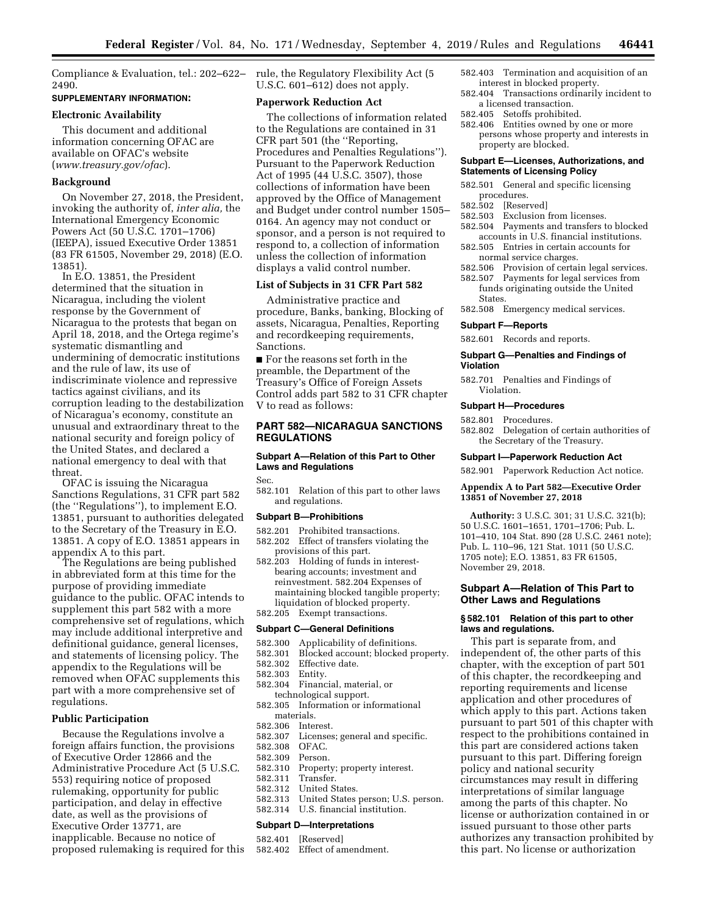Compliance & Evaluation, tel.: 202–622– rule, the Regulatory Flexibility Act (5 2490.

# **SUPPLEMENTARY INFORMATION:**

## **Electronic Availability**

This document and additional information concerning OFAC are available on OFAC's website (*[www.treasury.gov/ofac](http://www.treasury.gov/ofac)*).

## **Background**

On November 27, 2018, the President, invoking the authority of, *inter alia,* the International Emergency Economic Powers Act (50 U.S.C. 1701–1706) (IEEPA), issued Executive Order 13851 (83 FR 61505, November 29, 2018) (E.O. 13851).

In E.O. 13851, the President determined that the situation in Nicaragua, including the violent response by the Government of Nicaragua to the protests that began on April 18, 2018, and the Ortega regime's systematic dismantling and undermining of democratic institutions and the rule of law, its use of indiscriminate violence and repressive tactics against civilians, and its corruption leading to the destabilization of Nicaragua's economy, constitute an unusual and extraordinary threat to the national security and foreign policy of the United States, and declared a national emergency to deal with that threat.

OFAC is issuing the Nicaragua Sanctions Regulations, 31 CFR part 582 (the ''Regulations''), to implement E.O. 13851, pursuant to authorities delegated to the Secretary of the Treasury in E.O. 13851. A copy of E.O. 13851 appears in appendix A to this part.

The Regulations are being published in abbreviated form at this time for the purpose of providing immediate guidance to the public. OFAC intends to supplement this part 582 with a more comprehensive set of regulations, which may include additional interpretive and definitional guidance, general licenses, and statements of licensing policy. The appendix to the Regulations will be removed when OFAC supplements this part with a more comprehensive set of regulations.

## **Public Participation**

Because the Regulations involve a foreign affairs function, the provisions of Executive Order 12866 and the Administrative Procedure Act (5 U.S.C. 553) requiring notice of proposed rulemaking, opportunity for public participation, and delay in effective date, as well as the provisions of Executive Order 13771, are inapplicable. Because no notice of proposed rulemaking is required for this U.S.C. 601–612) does not apply.

#### **Paperwork Reduction Act**

The collections of information related to the Regulations are contained in 31 CFR part 501 (the ''Reporting, Procedures and Penalties Regulations''). Pursuant to the Paperwork Reduction Act of 1995 (44 U.S.C. 3507), those collections of information have been approved by the Office of Management and Budget under control number 1505– 0164. An agency may not conduct or sponsor, and a person is not required to respond to, a collection of information unless the collection of information displays a valid control number.

## **List of Subjects in 31 CFR Part 582**

Administrative practice and procedure, Banks, banking, Blocking of assets, Nicaragua, Penalties, Reporting and recordkeeping requirements, Sanctions.

■ For the reasons set forth in the preamble, the Department of the Treasury's Office of Foreign Assets Control adds part 582 to 31 CFR chapter V to read as follows:

## **PART 582—NICARAGUA SANCTIONS REGULATIONS**

# **Subpart A—Relation of this Part to Other Laws and Regulations**

Sec.

582.101 Relation of this part to other laws and regulations.

#### **Subpart B—Prohibitions**

- 582.201 Prohibited transactions.
- 582.202 Effect of transfers violating the provisions of this part.
- 582.203 Holding of funds in interestbearing accounts; investment and reinvestment. 582.204 Expenses of maintaining blocked tangible property; liquidation of blocked property. 582.205 Exempt transactions.

## **Subpart C—General Definitions**

- 582.300 Applicability of definitions.
- 582.301 Blocked account; blocked property.
- Effective date.
- 582.303 Entity.
- 582.304 Financial, material, or technological support.
- 582.305 Information or informational materials.
- 582.306 Interest.
- 582.307 Licenses; general and specific.
- 582.308 OFAC.
- 582.309 Person.
- Property; property interest.
- 582.311 Transfer.
- 582.312 United States.
- 582.313 United States person; U.S. person. 582.314 U.S. financial institution.

# **Subpart D—Interpretations**

582.401 [Reserved]

582.402 Effect of amendment.

- 582.403 Termination and acquisition of an interest in blocked property.
- 582.404 Transactions ordinarily incident to a licensed transaction.
- 582.405 Setoffs prohibited.
- 582.406 Entities owned by one or more persons whose property and interests in property are blocked.

#### **Subpart E—Licenses, Authorizations, and Statements of Licensing Policy**

- 582.501 General and specific licensing procedures.
	-
- 582.502 [Reserved]<br>582.503 Exclusion 582.503 Exclusion from licenses.<br>582.504 Payments and transfers to
- 582.504 Payments and transfers to blocked accounts in U.S. financial institutions.
- 582.505 Entries in certain accounts for normal service charges.
- 582.506 Provision of certain legal services.
- 582.507 Payments for legal services from funds originating outside the United States.
- 582.508 Emergency medical services.

#### **Subpart F—Reports**

582.601 Records and reports.

#### **Subpart G—Penalties and Findings of Violation**

582.701 Penalties and Findings of Violation.

# **Subpart H—Procedures**

- 582.801 Procedures.
- 582.802 Delegation of certain authorities of the Secretary of the Treasury.

#### **Subpart I—Paperwork Reduction Act**

582.901 Paperwork Reduction Act notice. **Appendix A to Part 582—Executive Order** 

# **13851 of November 27, 2018**

**Authority:** 3 U.S.C. 301; 31 U.S.C. 321(b); 50 U.S.C. 1601–1651, 1701–1706; Pub. L. 101–410, 104 Stat. 890 (28 U.S.C. 2461 note); Pub. L. 110–96, 121 Stat. 1011 (50 U.S.C. 1705 note); E.O. 13851, 83 FR 61505, November 29, 2018.

## **Subpart A—Relation of This Part to Other Laws and Regulations**

## **§ 582.101 Relation of this part to other laws and regulations.**

This part is separate from, and independent of, the other parts of this chapter, with the exception of part 501 of this chapter, the recordkeeping and reporting requirements and license application and other procedures of which apply to this part. Actions taken pursuant to part 501 of this chapter with respect to the prohibitions contained in this part are considered actions taken pursuant to this part. Differing foreign policy and national security circumstances may result in differing interpretations of similar language among the parts of this chapter. No license or authorization contained in or issued pursuant to those other parts authorizes any transaction prohibited by this part. No license or authorization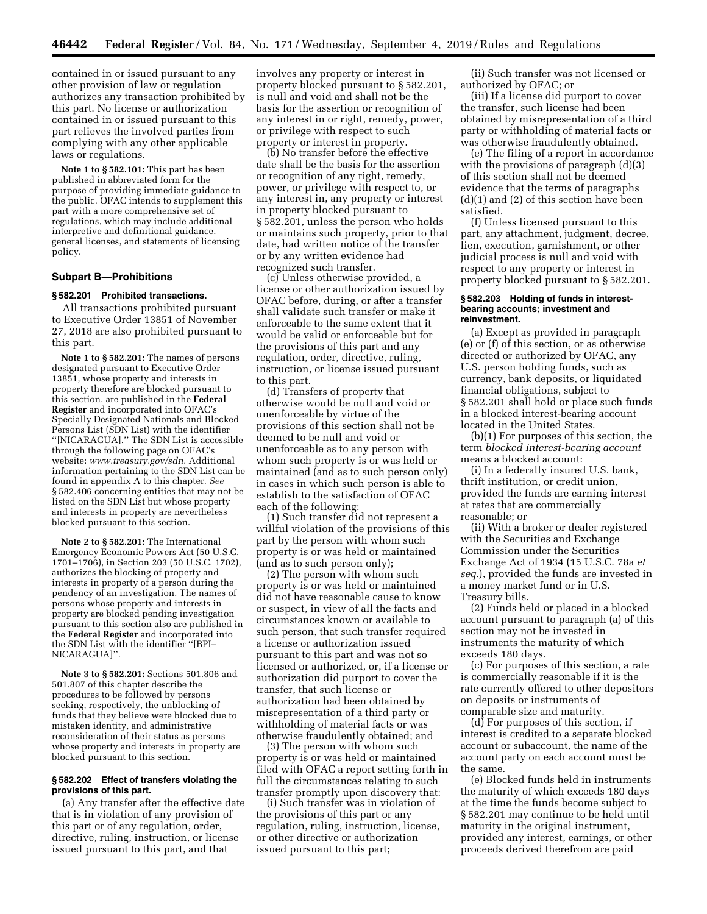contained in or issued pursuant to any other provision of law or regulation authorizes any transaction prohibited by this part. No license or authorization contained in or issued pursuant to this part relieves the involved parties from complying with any other applicable laws or regulations.

**Note 1 to § 582.101:** This part has been published in abbreviated form for the purpose of providing immediate guidance to the public. OFAC intends to supplement this part with a more comprehensive set of regulations, which may include additional interpretive and definitional guidance, general licenses, and statements of licensing policy.

#### **Subpart B—Prohibitions**

## **§ 582.201 Prohibited transactions.**

All transactions prohibited pursuant to Executive Order 13851 of November 27, 2018 are also prohibited pursuant to this part.

**Note 1 to § 582.201:** The names of persons designated pursuant to Executive Order 13851, whose property and interests in property therefore are blocked pursuant to this section, are published in the **Federal Register** and incorporated into OFAC's Specially Designated Nationals and Blocked Persons List (SDN List) with the identifier ''[NICARAGUA].'' The SDN List is accessible through the following page on OFAC's website: *[www.treasury.gov/sdn.](http://www.treasury.gov/sdn)* Additional information pertaining to the SDN List can be found in appendix A to this chapter. *See*  § 582.406 concerning entities that may not be listed on the SDN List but whose property and interests in property are nevertheless blocked pursuant to this section.

**Note 2 to § 582.201:** The International Emergency Economic Powers Act (50 U.S.C. 1701–1706), in Section 203 (50 U.S.C. 1702), authorizes the blocking of property and interests in property of a person during the pendency of an investigation. The names of persons whose property and interests in property are blocked pending investigation pursuant to this section also are published in the **Federal Register** and incorporated into the SDN List with the identifier ''[BPI– NICARAGUA]''.

**Note 3 to § 582.201:** Sections 501.806 and 501.807 of this chapter describe the procedures to be followed by persons seeking, respectively, the unblocking of funds that they believe were blocked due to mistaken identity, and administrative reconsideration of their status as persons whose property and interests in property are blocked pursuant to this section.

## **§ 582.202 Effect of transfers violating the provisions of this part.**

(a) Any transfer after the effective date that is in violation of any provision of this part or of any regulation, order, directive, ruling, instruction, or license issued pursuant to this part, and that

involves any property or interest in property blocked pursuant to § 582.201, is null and void and shall not be the basis for the assertion or recognition of any interest in or right, remedy, power, or privilege with respect to such property or interest in property.

(b) No transfer before the effective date shall be the basis for the assertion or recognition of any right, remedy, power, or privilege with respect to, or any interest in, any property or interest in property blocked pursuant to § 582.201, unless the person who holds or maintains such property, prior to that date, had written notice of the transfer or by any written evidence had recognized such transfer.

(c) Unless otherwise provided, a license or other authorization issued by OFAC before, during, or after a transfer shall validate such transfer or make it enforceable to the same extent that it would be valid or enforceable but for the provisions of this part and any regulation, order, directive, ruling, instruction, or license issued pursuant to this part.

(d) Transfers of property that otherwise would be null and void or unenforceable by virtue of the provisions of this section shall not be deemed to be null and void or unenforceable as to any person with whom such property is or was held or maintained (and as to such person only) in cases in which such person is able to establish to the satisfaction of OFAC each of the following:

(1) Such transfer did not represent a willful violation of the provisions of this part by the person with whom such property is or was held or maintained (and as to such person only);

(2) The person with whom such property is or was held or maintained did not have reasonable cause to know or suspect, in view of all the facts and circumstances known or available to such person, that such transfer required a license or authorization issued pursuant to this part and was not so licensed or authorized, or, if a license or authorization did purport to cover the transfer, that such license or authorization had been obtained by misrepresentation of a third party or withholding of material facts or was otherwise fraudulently obtained; and

(3) The person with whom such property is or was held or maintained filed with OFAC a report setting forth in full the circumstances relating to such transfer promptly upon discovery that:

(i) Such transfer was in violation of the provisions of this part or any regulation, ruling, instruction, license, or other directive or authorization issued pursuant to this part;

(ii) Such transfer was not licensed or authorized by OFAC; or

(iii) If a license did purport to cover the transfer, such license had been obtained by misrepresentation of a third party or withholding of material facts or was otherwise fraudulently obtained.

(e) The filing of a report in accordance with the provisions of paragraph (d)(3) of this section shall not be deemed evidence that the terms of paragraphs (d)(1) and (2) of this section have been satisfied.

(f) Unless licensed pursuant to this part, any attachment, judgment, decree, lien, execution, garnishment, or other judicial process is null and void with respect to any property or interest in property blocked pursuant to § 582.201.

#### **§ 582.203 Holding of funds in interestbearing accounts; investment and reinvestment.**

(a) Except as provided in paragraph (e) or (f) of this section, or as otherwise directed or authorized by OFAC, any U.S. person holding funds, such as currency, bank deposits, or liquidated financial obligations, subject to § 582.201 shall hold or place such funds in a blocked interest-bearing account located in the United States.

(b)(1) For purposes of this section, the term *blocked interest-bearing account*  means a blocked account:

(i) In a federally insured U.S. bank, thrift institution, or credit union, provided the funds are earning interest at rates that are commercially reasonable; or

(ii) With a broker or dealer registered with the Securities and Exchange Commission under the Securities Exchange Act of 1934 (15 U.S.C. 78a *et seq.*), provided the funds are invested in a money market fund or in U.S. Treasury bills.

(2) Funds held or placed in a blocked account pursuant to paragraph (a) of this section may not be invested in instruments the maturity of which exceeds 180 days.

(c) For purposes of this section, a rate is commercially reasonable if it is the rate currently offered to other depositors on deposits or instruments of comparable size and maturity.

(d) For purposes of this section, if interest is credited to a separate blocked account or subaccount, the name of the account party on each account must be the same.

(e) Blocked funds held in instruments the maturity of which exceeds 180 days at the time the funds become subject to § 582.201 may continue to be held until maturity in the original instrument, provided any interest, earnings, or other proceeds derived therefrom are paid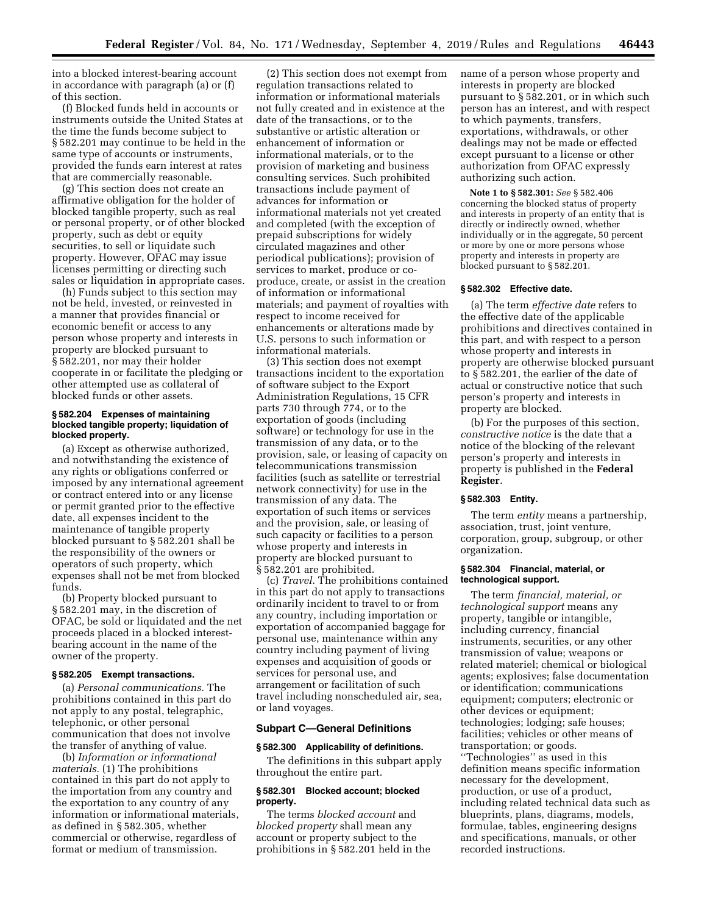into a blocked interest-bearing account in accordance with paragraph (a) or (f) of this section.

(f) Blocked funds held in accounts or instruments outside the United States at the time the funds become subject to § 582.201 may continue to be held in the same type of accounts or instruments, provided the funds earn interest at rates that are commercially reasonable.

(g) This section does not create an affirmative obligation for the holder of blocked tangible property, such as real or personal property, or of other blocked property, such as debt or equity securities, to sell or liquidate such property. However, OFAC may issue licenses permitting or directing such sales or liquidation in appropriate cases.

(h) Funds subject to this section may not be held, invested, or reinvested in a manner that provides financial or economic benefit or access to any person whose property and interests in property are blocked pursuant to § 582.201, nor may their holder cooperate in or facilitate the pledging or other attempted use as collateral of blocked funds or other assets.

## **§ 582.204 Expenses of maintaining blocked tangible property; liquidation of blocked property.**

(a) Except as otherwise authorized, and notwithstanding the existence of any rights or obligations conferred or imposed by any international agreement or contract entered into or any license or permit granted prior to the effective date, all expenses incident to the maintenance of tangible property blocked pursuant to § 582.201 shall be the responsibility of the owners or operators of such property, which expenses shall not be met from blocked funds.

(b) Property blocked pursuant to § 582.201 may, in the discretion of OFAC, be sold or liquidated and the net proceeds placed in a blocked interestbearing account in the name of the owner of the property.

#### **§ 582.205 Exempt transactions.**

(a) *Personal communications.* The prohibitions contained in this part do not apply to any postal, telegraphic, telephonic, or other personal communication that does not involve the transfer of anything of value.

(b) *Information or informational materials.* (1) The prohibitions contained in this part do not apply to the importation from any country and the exportation to any country of any information or informational materials, as defined in § 582.305, whether commercial or otherwise, regardless of format or medium of transmission.

(2) This section does not exempt from regulation transactions related to information or informational materials not fully created and in existence at the date of the transactions, or to the substantive or artistic alteration or enhancement of information or informational materials, or to the provision of marketing and business consulting services. Such prohibited transactions include payment of advances for information or informational materials not yet created and completed (with the exception of prepaid subscriptions for widely circulated magazines and other periodical publications); provision of services to market, produce or coproduce, create, or assist in the creation of information or informational materials; and payment of royalties with respect to income received for enhancements or alterations made by U.S. persons to such information or informational materials.

(3) This section does not exempt transactions incident to the exportation of software subject to the Export Administration Regulations, 15 CFR parts 730 through 774, or to the exportation of goods (including software) or technology for use in the transmission of any data, or to the provision, sale, or leasing of capacity on telecommunications transmission facilities (such as satellite or terrestrial network connectivity) for use in the transmission of any data. The exportation of such items or services and the provision, sale, or leasing of such capacity or facilities to a person whose property and interests in property are blocked pursuant to § 582.201 are prohibited.

(c) *Travel.* The prohibitions contained in this part do not apply to transactions ordinarily incident to travel to or from any country, including importation or exportation of accompanied baggage for personal use, maintenance within any country including payment of living expenses and acquisition of goods or services for personal use, and arrangement or facilitation of such travel including nonscheduled air, sea, or land voyages.

## **Subpart C—General Definitions**

## **§ 582.300 Applicability of definitions.**

The definitions in this subpart apply throughout the entire part.

# **§ 582.301 Blocked account; blocked property.**

The terms *blocked account* and *blocked property* shall mean any account or property subject to the prohibitions in § 582.201 held in the name of a person whose property and interests in property are blocked pursuant to § 582.201, or in which such person has an interest, and with respect to which payments, transfers, exportations, withdrawals, or other dealings may not be made or effected except pursuant to a license or other authorization from OFAC expressly authorizing such action.

**Note 1 to § 582.301:** *See* § 582.406 concerning the blocked status of property and interests in property of an entity that is directly or indirectly owned, whether individually or in the aggregate, 50 percent or more by one or more persons whose property and interests in property are blocked pursuant to § 582.201.

## **§ 582.302 Effective date.**

(a) The term *effective date* refers to the effective date of the applicable prohibitions and directives contained in this part, and with respect to a person whose property and interests in property are otherwise blocked pursuant to § 582.201, the earlier of the date of actual or constructive notice that such person's property and interests in property are blocked.

(b) For the purposes of this section, *constructive notice* is the date that a notice of the blocking of the relevant person's property and interests in property is published in the **Federal Register**.

## **§ 582.303 Entity.**

The term *entity* means a partnership, association, trust, joint venture, corporation, group, subgroup, or other organization.

#### **§ 582.304 Financial, material, or technological support.**

The term *financial, material, or technological support* means any property, tangible or intangible, including currency, financial instruments, securities, or any other transmission of value; weapons or related materiel; chemical or biological agents; explosives; false documentation or identification; communications equipment; computers; electronic or other devices or equipment; technologies; lodging; safe houses; facilities; vehicles or other means of transportation; or goods. ''Technologies'' as used in this

definition means specific information necessary for the development, production, or use of a product, including related technical data such as blueprints, plans, diagrams, models, formulae, tables, engineering designs and specifications, manuals, or other recorded instructions.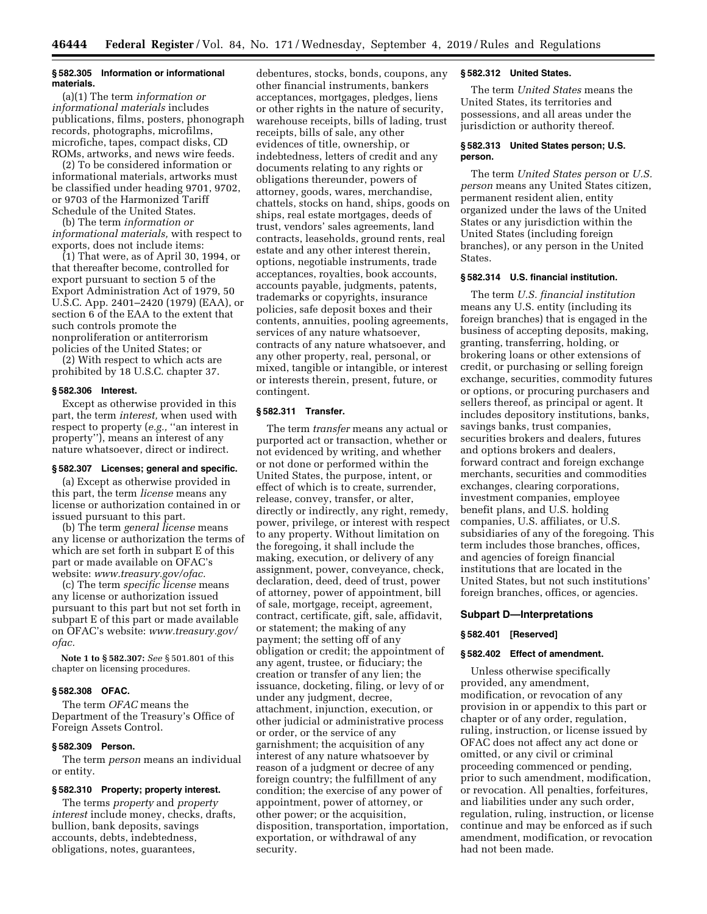## **§ 582.305 Information or informational materials.**

(a)(1) The term *information or informational materials* includes publications, films, posters, phonograph records, photographs, microfilms, microfiche, tapes, compact disks, CD ROMs, artworks, and news wire feeds.

(2) To be considered information or informational materials, artworks must be classified under heading 9701, 9702, or 9703 of the Harmonized Tariff Schedule of the United States.

(b) The term *information or informational materials,* with respect to exports, does not include items:

(1) That were, as of April 30, 1994, or that thereafter become, controlled for export pursuant to section 5 of the Export Administration Act of 1979, 50 U.S.C. App. 2401–2420 (1979) (EAA), or section 6 of the EAA to the extent that such controls promote the nonproliferation or antiterrorism policies of the United States; or

(2) With respect to which acts are prohibited by 18 U.S.C. chapter 37.

## **§ 582.306 Interest.**

Except as otherwise provided in this part, the term *interest,* when used with respect to property (*e.g.,* ''an interest in property''), means an interest of any nature whatsoever, direct or indirect.

## **§ 582.307 Licenses; general and specific.**

(a) Except as otherwise provided in this part, the term *license* means any license or authorization contained in or issued pursuant to this part.

(b) The term *general license* means any license or authorization the terms of which are set forth in subpart E of this part or made available on OFAC's website: *[www.treasury.gov/ofac.](http://www.treasury.gov/ofac)* 

(c) The term *specific license* means any license or authorization issued pursuant to this part but not set forth in subpart E of this part or made available on OFAC's website: *[www.treasury.gov/](http://www.treasury.gov/ofac)  [ofac.](http://www.treasury.gov/ofac)* 

**Note 1 to § 582.307:** *See* § 501.801 of this chapter on licensing procedures.

# **§ 582.308 OFAC.**

The term *OFAC* means the Department of the Treasury's Office of Foreign Assets Control.

## **§ 582.309 Person.**

The term *person* means an individual or entity.

#### **§ 582.310 Property; property interest.**

The terms *property* and *property interest* include money, checks, drafts, bullion, bank deposits, savings accounts, debts, indebtedness, obligations, notes, guarantees,

debentures, stocks, bonds, coupons, any other financial instruments, bankers acceptances, mortgages, pledges, liens or other rights in the nature of security, warehouse receipts, bills of lading, trust receipts, bills of sale, any other evidences of title, ownership, or indebtedness, letters of credit and any documents relating to any rights or obligations thereunder, powers of attorney, goods, wares, merchandise, chattels, stocks on hand, ships, goods on ships, real estate mortgages, deeds of trust, vendors' sales agreements, land contracts, leaseholds, ground rents, real estate and any other interest therein, options, negotiable instruments, trade acceptances, royalties, book accounts, accounts payable, judgments, patents, trademarks or copyrights, insurance policies, safe deposit boxes and their contents, annuities, pooling agreements, services of any nature whatsoever, contracts of any nature whatsoever, and any other property, real, personal, or mixed, tangible or intangible, or interest or interests therein, present, future, or contingent.

# **§ 582.311 Transfer.**

The term *transfer* means any actual or purported act or transaction, whether or not evidenced by writing, and whether or not done or performed within the United States, the purpose, intent, or effect of which is to create, surrender, release, convey, transfer, or alter, directly or indirectly, any right, remedy, power, privilege, or interest with respect to any property. Without limitation on the foregoing, it shall include the making, execution, or delivery of any assignment, power, conveyance, check, declaration, deed, deed of trust, power of attorney, power of appointment, bill of sale, mortgage, receipt, agreement, contract, certificate, gift, sale, affidavit, or statement; the making of any payment; the setting off of any obligation or credit; the appointment of any agent, trustee, or fiduciary; the creation or transfer of any lien; the issuance, docketing, filing, or levy of or under any judgment, decree, attachment, injunction, execution, or other judicial or administrative process or order, or the service of any garnishment; the acquisition of any interest of any nature whatsoever by reason of a judgment or decree of any foreign country; the fulfillment of any condition; the exercise of any power of appointment, power of attorney, or other power; or the acquisition, disposition, transportation, importation, exportation, or withdrawal of any security.

## **§ 582.312 United States.**

The term *United States* means the United States, its territories and possessions, and all areas under the jurisdiction or authority thereof.

## **§ 582.313 United States person; U.S. person.**

The term *United States person* or *U.S. person* means any United States citizen, permanent resident alien, entity organized under the laws of the United States or any jurisdiction within the United States (including foreign branches), or any person in the United States.

## **§ 582.314 U.S. financial institution.**

The term *U.S. financial institution*  means any U.S. entity (including its foreign branches) that is engaged in the business of accepting deposits, making, granting, transferring, holding, or brokering loans or other extensions of credit, or purchasing or selling foreign exchange, securities, commodity futures or options, or procuring purchasers and sellers thereof, as principal or agent. It includes depository institutions, banks, savings banks, trust companies, securities brokers and dealers, futures and options brokers and dealers, forward contract and foreign exchange merchants, securities and commodities exchanges, clearing corporations, investment companies, employee benefit plans, and U.S. holding companies, U.S. affiliates, or U.S. subsidiaries of any of the foregoing. This term includes those branches, offices, and agencies of foreign financial institutions that are located in the United States, but not such institutions' foreign branches, offices, or agencies.

## **Subpart D—Interpretations**

#### **§ 582.401 [Reserved]**

## **§ 582.402 Effect of amendment.**

Unless otherwise specifically provided, any amendment, modification, or revocation of any provision in or appendix to this part or chapter or of any order, regulation, ruling, instruction, or license issued by OFAC does not affect any act done or omitted, or any civil or criminal proceeding commenced or pending, prior to such amendment, modification, or revocation. All penalties, forfeitures, and liabilities under any such order, regulation, ruling, instruction, or license continue and may be enforced as if such amendment, modification, or revocation had not been made.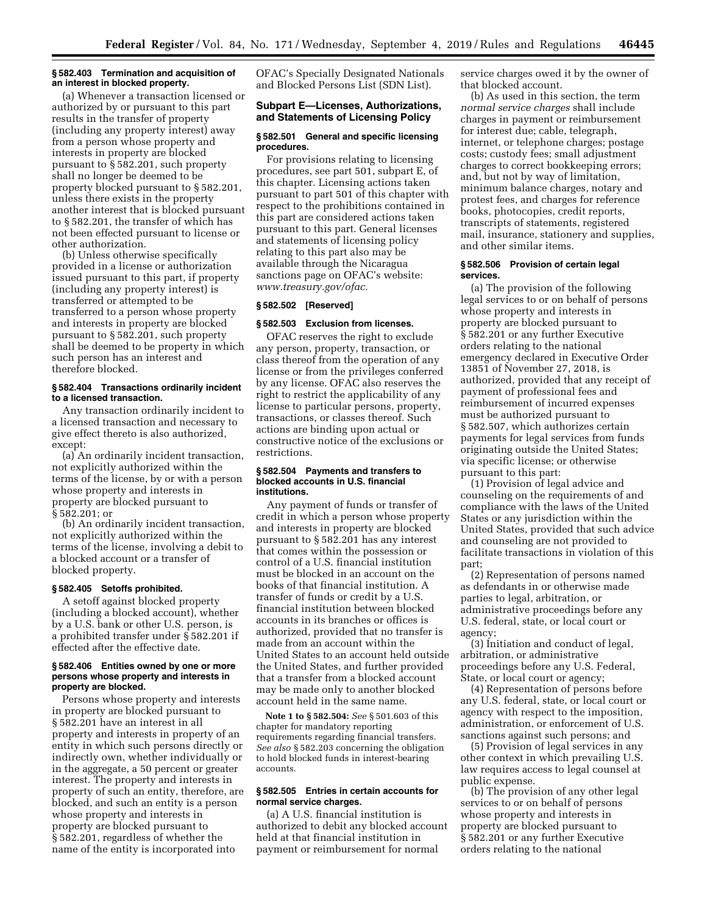### **§ 582.403 Termination and acquisition of an interest in blocked property.**

(a) Whenever a transaction licensed or authorized by or pursuant to this part results in the transfer of property (including any property interest) away from a person whose property and interests in property are blocked pursuant to § 582.201, such property shall no longer be deemed to be property blocked pursuant to § 582.201, unless there exists in the property another interest that is blocked pursuant to § 582.201, the transfer of which has not been effected pursuant to license or other authorization.

(b) Unless otherwise specifically provided in a license or authorization issued pursuant to this part, if property (including any property interest) is transferred or attempted to be transferred to a person whose property and interests in property are blocked pursuant to § 582.201, such property shall be deemed to be property in which such person has an interest and therefore blocked.

## **§ 582.404 Transactions ordinarily incident to a licensed transaction.**

Any transaction ordinarily incident to a licensed transaction and necessary to give effect thereto is also authorized, except:

(a) An ordinarily incident transaction, not explicitly authorized within the terms of the license, by or with a person whose property and interests in property are blocked pursuant to § 582.201; or

(b) An ordinarily incident transaction, not explicitly authorized within the terms of the license, involving a debit to a blocked account or a transfer of blocked property.

## **§ 582.405 Setoffs prohibited.**

A setoff against blocked property (including a blocked account), whether by a U.S. bank or other U.S. person, is a prohibited transfer under § 582.201 if effected after the effective date.

## **§ 582.406 Entities owned by one or more persons whose property and interests in property are blocked.**

Persons whose property and interests in property are blocked pursuant to § 582.201 have an interest in all property and interests in property of an entity in which such persons directly or indirectly own, whether individually or in the aggregate, a 50 percent or greater interest. The property and interests in property of such an entity, therefore, are blocked, and such an entity is a person whose property and interests in property are blocked pursuant to § 582.201, regardless of whether the name of the entity is incorporated into

OFAC's Specially Designated Nationals and Blocked Persons List (SDN List).

## **Subpart E—Licenses, Authorizations, and Statements of Licensing Policy**

#### **§ 582.501 General and specific licensing procedures.**

For provisions relating to licensing procedures, see part 501, subpart E, of this chapter. Licensing actions taken pursuant to part 501 of this chapter with respect to the prohibitions contained in this part are considered actions taken pursuant to this part. General licenses and statements of licensing policy relating to this part also may be available through the Nicaragua sanctions page on OFAC's website: *[www.treasury.gov/ofac.](http://www.treasury.gov/ofac)* 

## **§ 582.502 [Reserved]**

#### **§ 582.503 Exclusion from licenses.**

OFAC reserves the right to exclude any person, property, transaction, or class thereof from the operation of any license or from the privileges conferred by any license. OFAC also reserves the right to restrict the applicability of any license to particular persons, property, transactions, or classes thereof. Such actions are binding upon actual or constructive notice of the exclusions or restrictions.

#### **§ 582.504 Payments and transfers to blocked accounts in U.S. financial institutions.**

Any payment of funds or transfer of credit in which a person whose property and interests in property are blocked pursuant to § 582.201 has any interest that comes within the possession or control of a U.S. financial institution must be blocked in an account on the books of that financial institution. A transfer of funds or credit by a U.S. financial institution between blocked accounts in its branches or offices is authorized, provided that no transfer is made from an account within the United States to an account held outside the United States, and further provided that a transfer from a blocked account may be made only to another blocked account held in the same name.

**Note 1 to § 582.504:** *See* § 501.603 of this chapter for mandatory reporting requirements regarding financial transfers. *See also* § 582.203 concerning the obligation to hold blocked funds in interest-bearing accounts.

## **§ 582.505 Entries in certain accounts for normal service charges.**

(a) A U.S. financial institution is authorized to debit any blocked account held at that financial institution in payment or reimbursement for normal

service charges owed it by the owner of that blocked account.

(b) As used in this section, the term *normal service charges* shall include charges in payment or reimbursement for interest due; cable, telegraph, internet, or telephone charges; postage costs; custody fees; small adjustment charges to correct bookkeeping errors; and, but not by way of limitation, minimum balance charges, notary and protest fees, and charges for reference books, photocopies, credit reports, transcripts of statements, registered mail, insurance, stationery and supplies, and other similar items.

## **§ 582.506 Provision of certain legal services.**

(a) The provision of the following legal services to or on behalf of persons whose property and interests in property are blocked pursuant to § 582.201 or any further Executive orders relating to the national emergency declared in Executive Order 13851 of November 27, 2018, is authorized, provided that any receipt of payment of professional fees and reimbursement of incurred expenses must be authorized pursuant to § 582.507, which authorizes certain payments for legal services from funds originating outside the United States; via specific license; or otherwise pursuant to this part:

(1) Provision of legal advice and counseling on the requirements of and compliance with the laws of the United States or any jurisdiction within the United States, provided that such advice and counseling are not provided to facilitate transactions in violation of this part;

(2) Representation of persons named as defendants in or otherwise made parties to legal, arbitration, or administrative proceedings before any U.S. federal, state, or local court or agency;

(3) Initiation and conduct of legal, arbitration, or administrative proceedings before any U.S. Federal, State, or local court or agency;

(4) Representation of persons before any U.S. federal, state, or local court or agency with respect to the imposition, administration, or enforcement of U.S. sanctions against such persons; and

(5) Provision of legal services in any other context in which prevailing U.S. law requires access to legal counsel at public expense.

(b) The provision of any other legal services to or on behalf of persons whose property and interests in property are blocked pursuant to § 582.201 or any further Executive orders relating to the national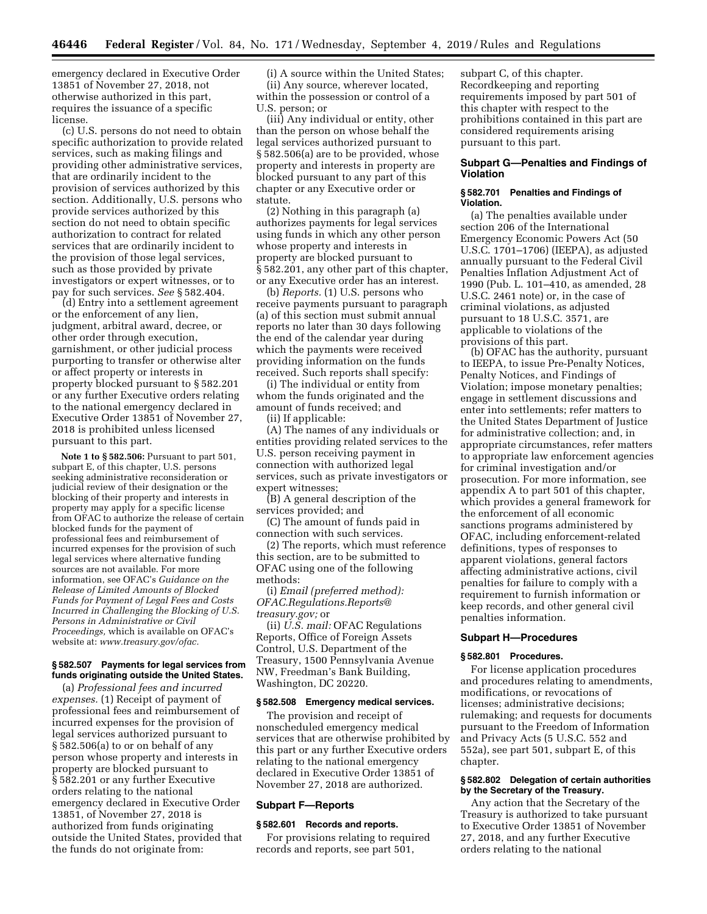emergency declared in Executive Order 13851 of November 27, 2018, not otherwise authorized in this part, requires the issuance of a specific license.

(c) U.S. persons do not need to obtain specific authorization to provide related services, such as making filings and providing other administrative services, that are ordinarily incident to the provision of services authorized by this section. Additionally, U.S. persons who provide services authorized by this section do not need to obtain specific authorization to contract for related services that are ordinarily incident to the provision of those legal services, such as those provided by private investigators or expert witnesses, or to pay for such services. *See* § 582.404.

(d) Entry into a settlement agreement or the enforcement of any lien, judgment, arbitral award, decree, or other order through execution, garnishment, or other judicial process purporting to transfer or otherwise alter or affect property or interests in property blocked pursuant to § 582.201 or any further Executive orders relating to the national emergency declared in Executive Order 13851 of November 27, 2018 is prohibited unless licensed pursuant to this part.

**Note 1 to § 582.506:** Pursuant to part 501, subpart E, of this chapter, U.S. persons seeking administrative reconsideration or judicial review of their designation or the blocking of their property and interests in property may apply for a specific license from OFAC to authorize the release of certain blocked funds for the payment of professional fees and reimbursement of incurred expenses for the provision of such legal services where alternative funding sources are not available. For more information, see OFAC's *Guidance on the Release of Limited Amounts of Blocked Funds for Payment of Legal Fees and Costs Incurred in Challenging the Blocking of U.S. Persons in Administrative or Civil Proceedings,* which is available on OFAC's website at: *[www.treasury.gov/ofac.](http://www.treasury.gov/ofac)* 

# **§ 582.507 Payments for legal services from funds originating outside the United States.**

(a) *Professional fees and incurred expenses.* (1) Receipt of payment of professional fees and reimbursement of incurred expenses for the provision of legal services authorized pursuant to § 582.506(a) to or on behalf of any person whose property and interests in property are blocked pursuant to § 582.201 or any further Executive orders relating to the national emergency declared in Executive Order 13851, of November 27, 2018 is authorized from funds originating outside the United States, provided that the funds do not originate from:

(i) A source within the United States; (ii) Any source, wherever located, within the possession or control of a U.S. person; or

(iii) Any individual or entity, other than the person on whose behalf the legal services authorized pursuant to § 582.506(a) are to be provided, whose property and interests in property are blocked pursuant to any part of this chapter or any Executive order or statute.

(2) Nothing in this paragraph (a) authorizes payments for legal services using funds in which any other person whose property and interests in property are blocked pursuant to § 582.201, any other part of this chapter, or any Executive order has an interest.

(b) *Reports.* (1) U.S. persons who receive payments pursuant to paragraph (a) of this section must submit annual reports no later than 30 days following the end of the calendar year during which the payments were received providing information on the funds received. Such reports shall specify:

(i) The individual or entity from whom the funds originated and the amount of funds received; and

(ii) If applicable:

(A) The names of any individuals or entities providing related services to the U.S. person receiving payment in connection with authorized legal services, such as private investigators or expert witnesses;

(B) A general description of the services provided; and

(C) The amount of funds paid in connection with such services.

(2) The reports, which must reference this section, are to be submitted to OFAC using one of the following methods:

(i) *Email (preferred method): [OFAC.Regulations.Reports@](mailto:OFAC.Regulations.Reports@treasury.gov) [treasury.gov;](mailto:OFAC.Regulations.Reports@treasury.gov)* or

(ii) *U.S. mail:* OFAC Regulations Reports, Office of Foreign Assets Control, U.S. Department of the Treasury, 1500 Pennsylvania Avenue NW, Freedman's Bank Building, Washington, DC 20220.

## **§ 582.508 Emergency medical services.**

The provision and receipt of nonscheduled emergency medical services that are otherwise prohibited by this part or any further Executive orders relating to the national emergency declared in Executive Order 13851 of November 27, 2018 are authorized.

#### **Subpart F—Reports**

#### **§ 582.601 Records and reports.**

For provisions relating to required records and reports, see part 501,

subpart C, of this chapter. Recordkeeping and reporting requirements imposed by part 501 of this chapter with respect to the prohibitions contained in this part are considered requirements arising pursuant to this part.

## **Subpart G—Penalties and Findings of Violation**

## **§ 582.701 Penalties and Findings of Violation.**

(a) The penalties available under section 206 of the International Emergency Economic Powers Act (50 U.S.C. 1701–1706) (IEEPA), as adjusted annually pursuant to the Federal Civil Penalties Inflation Adjustment Act of 1990 (Pub. L. 101–410, as amended, 28 U.S.C. 2461 note) or, in the case of criminal violations, as adjusted pursuant to 18 U.S.C. 3571, are applicable to violations of the provisions of this part.

(b) OFAC has the authority, pursuant to IEEPA, to issue Pre-Penalty Notices, Penalty Notices, and Findings of Violation; impose monetary penalties; engage in settlement discussions and enter into settlements; refer matters to the United States Department of Justice for administrative collection; and, in appropriate circumstances, refer matters to appropriate law enforcement agencies for criminal investigation and/or prosecution. For more information, see appendix A to part 501 of this chapter, which provides a general framework for the enforcement of all economic sanctions programs administered by OFAC, including enforcement-related definitions, types of responses to apparent violations, general factors affecting administrative actions, civil penalties for failure to comply with a requirement to furnish information or keep records, and other general civil penalties information.

## **Subpart H—Procedures**

#### **§ 582.801 Procedures.**

For license application procedures and procedures relating to amendments, modifications, or revocations of licenses; administrative decisions; rulemaking; and requests for documents pursuant to the Freedom of Information and Privacy Acts (5 U.S.C. 552 and 552a), see part 501, subpart E, of this chapter.

## **§ 582.802 Delegation of certain authorities by the Secretary of the Treasury.**

Any action that the Secretary of the Treasury is authorized to take pursuant to Executive Order 13851 of November 27, 2018, and any further Executive orders relating to the national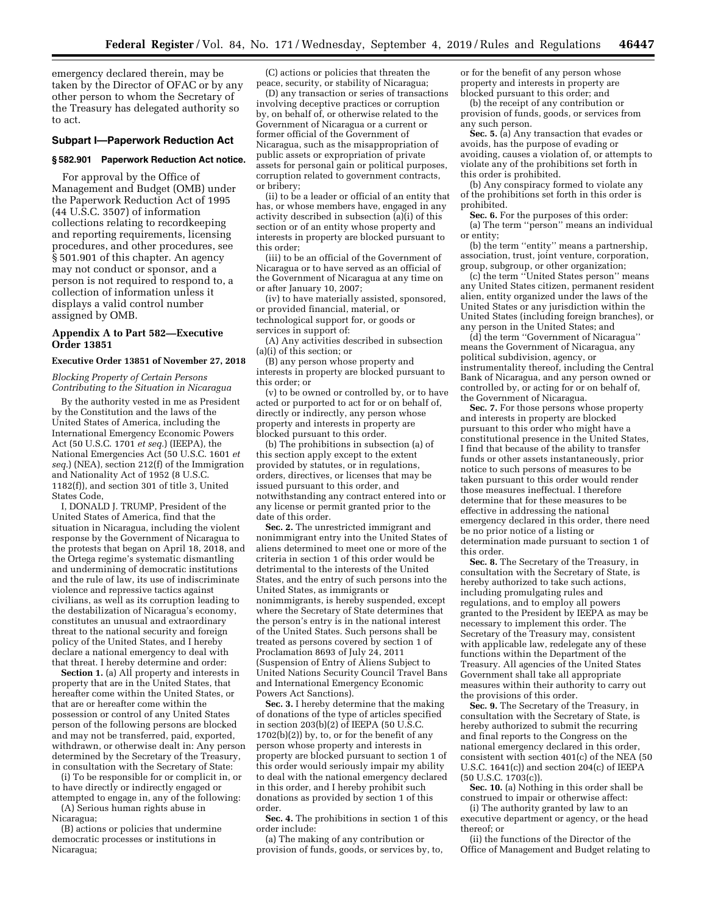emergency declared therein, may be taken by the Director of OFAC or by any other person to whom the Secretary of the Treasury has delegated authority so to act.

## **Subpart I—Paperwork Reduction Act**

## **§ 582.901 Paperwork Reduction Act notice.**

For approval by the Office of Management and Budget (OMB) under the Paperwork Reduction Act of 1995 (44 U.S.C. 3507) of information collections relating to recordkeeping and reporting requirements, licensing procedures, and other procedures, see § 501.901 of this chapter. An agency may not conduct or sponsor, and a person is not required to respond to, a collection of information unless it displays a valid control number assigned by OMB.

# **Appendix A to Part 582—Executive Order 13851**

#### **Executive Order 13851 of November 27, 2018**

## *Blocking Property of Certain Persons Contributing to the Situation in Nicaragua*

By the authority vested in me as President by the Constitution and the laws of the United States of America, including the International Emergency Economic Powers Act (50 U.S.C. 1701 *et seq.*) (IEEPA), the National Emergencies Act (50 U.S.C. 1601 *et seq.*) (NEA), section 212(f) of the Immigration and Nationality Act of 1952 (8 U.S.C. 1182(f)), and section 301 of title 3, United States Code,

I, DONALD J. TRUMP, President of the United States of America, find that the situation in Nicaragua, including the violent response by the Government of Nicaragua to the protests that began on April 18, 2018, and the Ortega regime's systematic dismantling and undermining of democratic institutions and the rule of law, its use of indiscriminate violence and repressive tactics against civilians, as well as its corruption leading to the destabilization of Nicaragua's economy, constitutes an unusual and extraordinary threat to the national security and foreign policy of the United States, and I hereby declare a national emergency to deal with that threat. I hereby determine and order:

**Section 1.** (a) All property and interests in property that are in the United States, that hereafter come within the United States, or that are or hereafter come within the possession or control of any United States person of the following persons are blocked and may not be transferred, paid, exported, withdrawn, or otherwise dealt in: Any person determined by the Secretary of the Treasury, in consultation with the Secretary of State:

(i) To be responsible for or complicit in, or to have directly or indirectly engaged or attempted to engage in, any of the following:

(A) Serious human rights abuse in Nicaragua;

(B) actions or policies that undermine democratic processes or institutions in Nicaragua;

(C) actions or policies that threaten the peace, security, or stability of Nicaragua;

(D) any transaction or series of transactions involving deceptive practices or corruption by, on behalf of, or otherwise related to the Government of Nicaragua or a current or former official of the Government of Nicaragua, such as the misappropriation of public assets or expropriation of private assets for personal gain or political purposes, corruption related to government contracts, or bribery;

(ii) to be a leader or official of an entity that has, or whose members have, engaged in any activity described in subsection  $(a)(i)$  of this section or of an entity whose property and interests in property are blocked pursuant to this order;

(iii) to be an official of the Government of Nicaragua or to have served as an official of the Government of Nicaragua at any time on or after January 10, 2007;

(iv) to have materially assisted, sponsored, or provided financial, material, or technological support for, or goods or services in support of:

(A) Any activities described in subsection (a)(i) of this section; or

(B) any person whose property and interests in property are blocked pursuant to this order; or

(v) to be owned or controlled by, or to have acted or purported to act for or on behalf of, directly or indirectly, any person whose property and interests in property are blocked pursuant to this order.

(b) The prohibitions in subsection (a) of this section apply except to the extent provided by statutes, or in regulations, orders, directives, or licenses that may be issued pursuant to this order, and notwithstanding any contract entered into or any license or permit granted prior to the date of this order.

**Sec. 2.** The unrestricted immigrant and nonimmigrant entry into the United States of aliens determined to meet one or more of the criteria in section 1 of this order would be detrimental to the interests of the United States, and the entry of such persons into the United States, as immigrants or nonimmigrants, is hereby suspended, except where the Secretary of State determines that the person's entry is in the national interest of the United States. Such persons shall be treated as persons covered by section 1 of Proclamation 8693 of July 24, 2011 (Suspension of Entry of Aliens Subject to United Nations Security Council Travel Bans and International Emergency Economic Powers Act Sanctions).

**Sec. 3.** I hereby determine that the making of donations of the type of articles specified in section 203(b)(2) of IEEPA (50 U.S.C. 1702(b)(2)) by, to, or for the benefit of any person whose property and interests in property are blocked pursuant to section 1 of this order would seriously impair my ability to deal with the national emergency declared in this order, and I hereby prohibit such donations as provided by section 1 of this order.

**Sec. 4.** The prohibitions in section 1 of this order include:

(a) The making of any contribution or provision of funds, goods, or services by, to,

or for the benefit of any person whose property and interests in property are blocked pursuant to this order; and

(b) the receipt of any contribution or provision of funds, goods, or services from any such person.

**Sec. 5.** (a) Any transaction that evades or avoids, has the purpose of evading or avoiding, causes a violation of, or attempts to violate any of the prohibitions set forth in this order is prohibited.

(b) Any conspiracy formed to violate any of the prohibitions set forth in this order is prohibited.

**Sec. 6.** For the purposes of this order: (a) The term ''person'' means an individual or entity;

(b) the term ''entity'' means a partnership, association, trust, joint venture, corporation, group, subgroup, or other organization;

(c) the term ''United States person'' means any United States citizen, permanent resident alien, entity organized under the laws of the United States or any jurisdiction within the United States (including foreign branches), or any person in the United States; and

(d) the term ''Government of Nicaragua'' means the Government of Nicaragua, any political subdivision, agency, or instrumentality thereof, including the Central Bank of Nicaragua, and any person owned or controlled by, or acting for or on behalf of, the Government of Nicaragua.

**Sec. 7.** For those persons whose property and interests in property are blocked pursuant to this order who might have a constitutional presence in the United States, I find that because of the ability to transfer funds or other assets instantaneously, prior notice to such persons of measures to be taken pursuant to this order would render those measures ineffectual. I therefore determine that for these measures to be effective in addressing the national emergency declared in this order, there need be no prior notice of a listing or determination made pursuant to section 1 of this order.

**Sec. 8.** The Secretary of the Treasury, in consultation with the Secretary of State, is hereby authorized to take such actions, including promulgating rules and regulations, and to employ all powers granted to the President by IEEPA as may be necessary to implement this order. The Secretary of the Treasury may, consistent with applicable law, redelegate any of these functions within the Department of the Treasury. All agencies of the United States Government shall take all appropriate measures within their authority to carry out the provisions of this order.

**Sec. 9.** The Secretary of the Treasury, in consultation with the Secretary of State, is hereby authorized to submit the recurring and final reports to the Congress on the national emergency declared in this order, consistent with section 401(c) of the NEA (50 U.S.C. 1641(c)) and section 204(c) of IEEPA (50 U.S.C. 1703(c)).

**Sec. 10.** (a) Nothing in this order shall be construed to impair or otherwise affect:

(i) The authority granted by law to an executive department or agency, or the head thereof; or

(ii) the functions of the Director of the Office of Management and Budget relating to